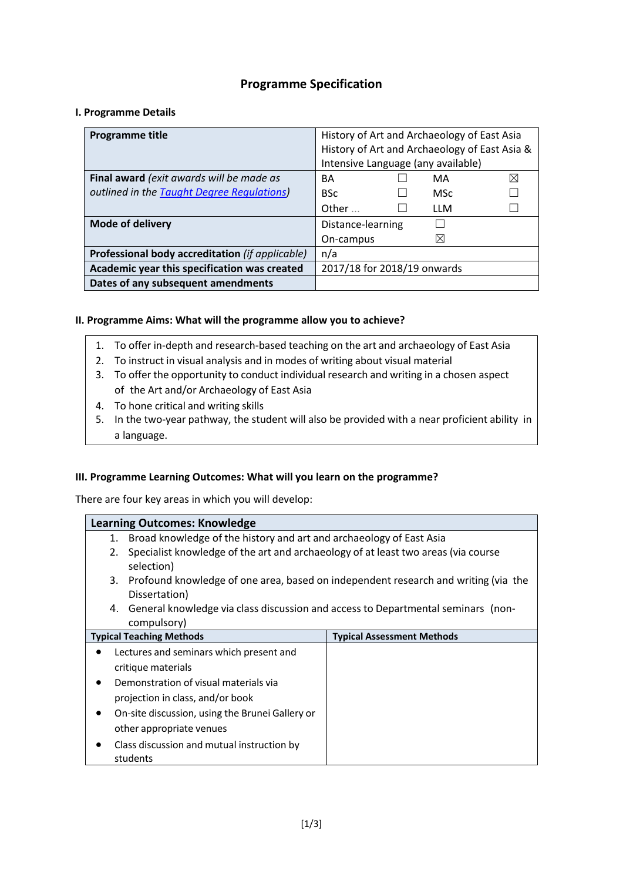# **Programme Specification**

## **I. Programme Details**

| Programme title                                 | History of Art and Archaeology of East Asia   |  |  |
|-------------------------------------------------|-----------------------------------------------|--|--|
|                                                 | History of Art and Archaeology of East Asia & |  |  |
|                                                 | Intensive Language (any available)            |  |  |
| Final award (exit awards will be made as        | $\boxtimes$<br>MA<br>BА                       |  |  |
| outlined in the Taught Degree Regulations)      | <b>BSc</b><br><b>MSc</b>                      |  |  |
|                                                 | Other $\ldots$<br><b>LLM</b>                  |  |  |
| Mode of delivery                                | Distance-learning                             |  |  |
|                                                 | $\boxtimes$<br>On-campus                      |  |  |
| Professional body accreditation (if applicable) | n/a                                           |  |  |
| Academic year this specification was created    | 2017/18 for 2018/19 onwards                   |  |  |
| Dates of any subsequent amendments              |                                               |  |  |

## **II. Programme Aims: What will the programme allow you to achieve?**

- 1. To offer in-depth and research-based teaching on the art and archaeology of East Asia
- 2. To instruct in visual analysis and in modes of writing about visual material
- 3. To offer the opportunity to conduct individual research and writing in a chosen aspect of the Art and/or Archaeology of East Asia
- 4. To hone critical and writing skills
- 5. In the two-year pathway, the student will also be provided with a near proficient ability in a language.

## **III. Programme Learning Outcomes: What will you learn on the programme?**

There are four key areas in which you will develop:

|                                                    | <b>Learning Outcomes: Knowledge</b>                                                                    |                                   |
|----------------------------------------------------|--------------------------------------------------------------------------------------------------------|-----------------------------------|
| 1.                                                 | Broad knowledge of the history and art and archaeology of East Asia                                    |                                   |
| 2.                                                 | Specialist knowledge of the art and archaeology of at least two areas (via course<br>selection)        |                                   |
|                                                    | 3. Profound knowledge of one area, based on independent research and writing (via the<br>Dissertation) |                                   |
|                                                    | 4. General knowledge via class discussion and access to Departmental seminars (non-<br>compulsory)     |                                   |
|                                                    | <b>Typical Teaching Methods</b>                                                                        | <b>Typical Assessment Methods</b> |
| $\bullet$                                          | Lectures and seminars which present and                                                                |                                   |
| critique materials                                 |                                                                                                        |                                   |
| Demonstration of visual materials via<br>$\bullet$ |                                                                                                        |                                   |
| projection in class, and/or book                   |                                                                                                        |                                   |
|                                                    | On-site discussion, using the Brunei Gallery or                                                        |                                   |
|                                                    | other appropriate venues                                                                               |                                   |
|                                                    | Class discussion and mutual instruction by<br>students                                                 |                                   |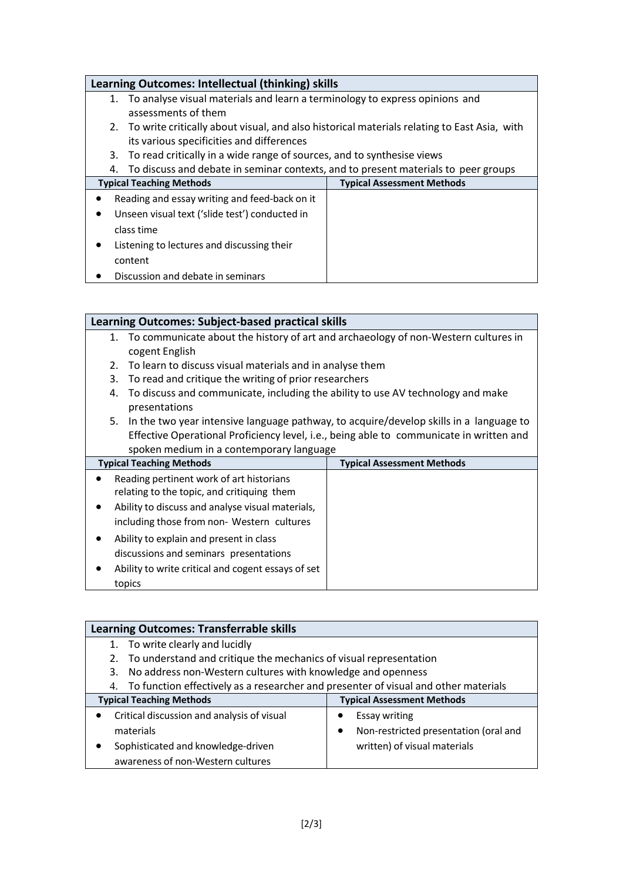# **Learning Outcomes: Intellectual (thinking) skills** 1. To analyse visual materials and learn a terminology to express opinions and assessments of them 2. To write critically about visual, and also historical materials relating to East Asia, with its various specificities and differences 3. To read critically in a wide range of sources, and to synthesise views 4. To discuss and debate in seminar contexts, and to present materials to peer groups **Typical Teaching Methods Typical Assessment Methods** • Reading and essay writing and feed-back on it • Unseen visual text ('slide test') conducted in class time • Listening to lectures and discussing their content

• Discussion and debate in seminars

# **Learning Outcomes: Subject-based practical skills**

- 1. To communicate about the history of art and archaeology of non-Western cultures in cogent English
- 2. To learn to discuss visual materials and in analyse them
- 3. To read and critique the writing of prior researchers
- 4. To discuss and communicate, including the ability to use AV technology and make presentations
- 5. In the two year intensive language pathway, to acquire/develop skills in a language to Effective Operational Proficiency level, i.e., being able to communicate in written and spoken medium in a contemporary language

| <b>Typical Teaching Methods</b>                                                        | <b>Typical Assessment Methods</b> |  |
|----------------------------------------------------------------------------------------|-----------------------------------|--|
| Reading pertinent work of art historians<br>relating to the topic, and critiquing them |                                   |  |
| Ability to discuss and analyse visual materials,                                       |                                   |  |
| including those from non- Western cultures                                             |                                   |  |
| Ability to explain and present in class                                                |                                   |  |
| discussions and seminars presentations                                                 |                                   |  |
| Ability to write critical and cogent essays of set                                     |                                   |  |
| topics                                                                                 |                                   |  |

| <b>Learning Outcomes: Transferrable skills</b>                                            |                                       |  |
|-------------------------------------------------------------------------------------------|---------------------------------------|--|
| To write clearly and lucidly                                                              |                                       |  |
| 2. To understand and critique the mechanics of visual representation                      |                                       |  |
| 3. No address non-Western cultures with knowledge and openness                            |                                       |  |
| To function effectively as a researcher and presenter of visual and other materials<br>4. |                                       |  |
| <b>Typical Teaching Methods</b>                                                           | <b>Typical Assessment Methods</b>     |  |
| Critical discussion and analysis of visual                                                | Essay writing                         |  |
| materials                                                                                 | Non-restricted presentation (oral and |  |
| Sophisticated and knowledge-driven                                                        | written) of visual materials          |  |
| awareness of non-Western cultures                                                         |                                       |  |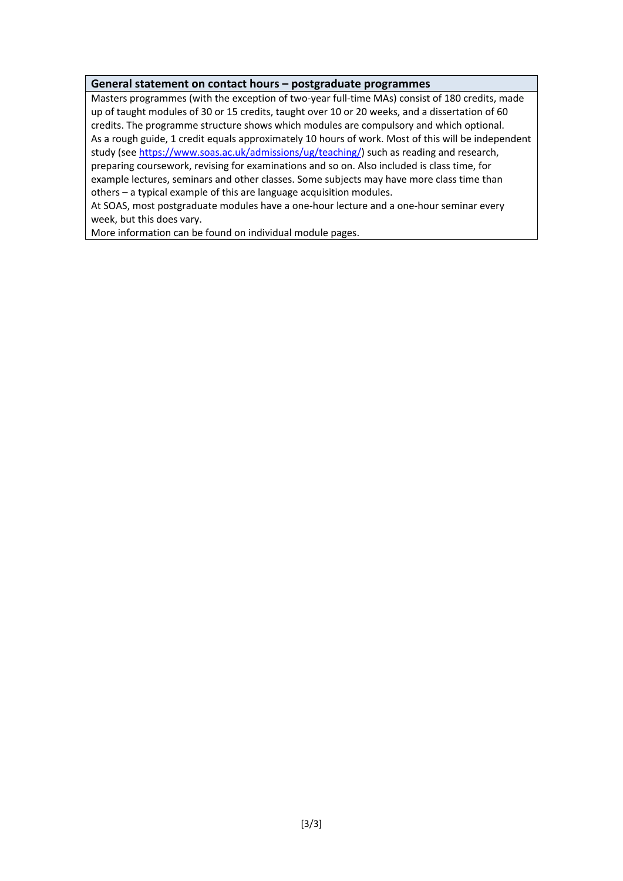## **General statement on contact hours – postgraduate programmes**

Masters programmes (with the exception of two-year full-time MAs) consist of 180 credits, made up of taught modules of 30 or 15 credits, taught over 10 or 20 weeks, and a dissertation of 60 credits. The programme structure shows which modules are compulsory and which optional. As a rough guide, 1 credit equals approximately 10 hours of work. Most of this will be independent study (see [https://www.soas.ac.uk/admissions/ug/teaching/\)](https://www.soas.ac.uk/admissions/ug/teaching/) such as reading and research, preparing coursework, revising for examinations and so on. Also included is class time, for example lectures, seminars and other classes. Some subjects may have more class time than others – a typical example of this are language acquisition modules.

At SOAS, most postgraduate modules have a one-hour lecture and a one-hour seminar every week, but this does vary.

More information can be found on individual module pages.